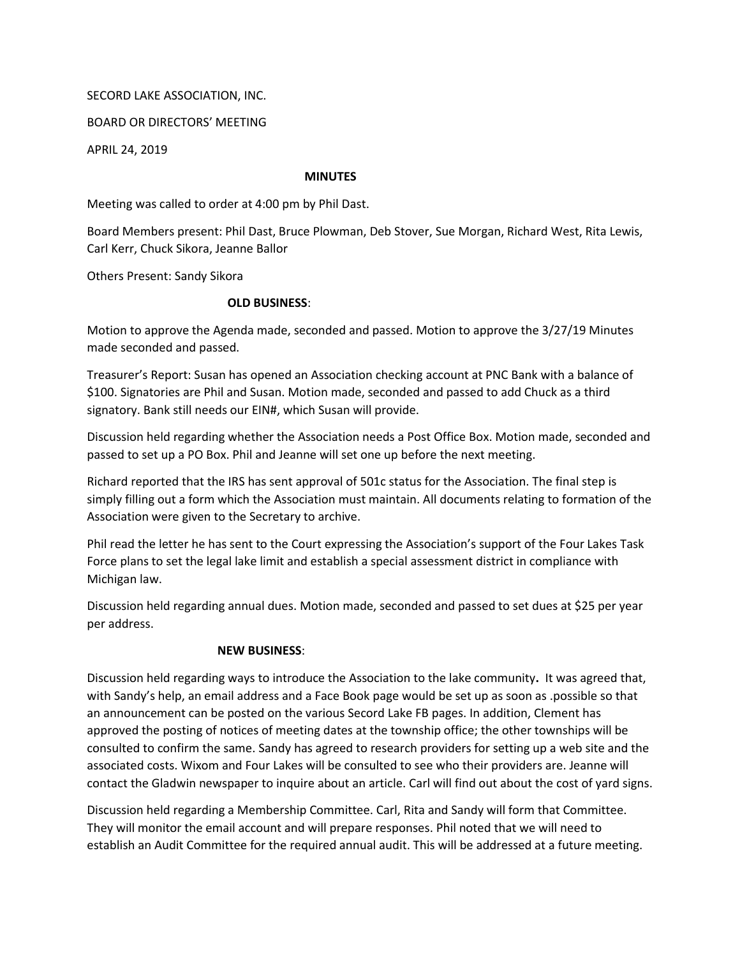SECORD LAKE ASSOCIATION, INC.

BOARD OR DIRECTORS' MEETING

APRIL 24, 2019

## MINUTES

Meeting was called to order at 4:00 pm by Phil Dast.

Board Members present: Phil Dast, Bruce Plowman, Deb Stover, Sue Morgan, Richard West, Rita Lewis, Carl Kerr, Chuck Sikora, Jeanne Ballor

Others Present: Sandy Sikora

## OLD BUSINESS:

Motion to approve the Agenda made, seconded and passed. Motion to approve the 3/27/19 Minutes made seconded and passed.

Treasurer's Report: Susan has opened an Association checking account at PNC Bank with a balance of \$100. Signatories are Phil and Susan. Motion made, seconded and passed to add Chuck as a third signatory. Bank still needs our EIN#, which Susan will provide.

Discussion held regarding whether the Association needs a Post Office Box. Motion made, seconded and passed to set up a PO Box. Phil and Jeanne will set one up before the next meeting.

Richard reported that the IRS has sent approval of 501c status for the Association. The final step is simply filling out a form which the Association must maintain. All documents relating to formation of the Association were given to the Secretary to archive.

Phil read the letter he has sent to the Court expressing the Association's support of the Four Lakes Task Force plans to set the legal lake limit and establish a special assessment district in compliance with Michigan law.

Discussion held regarding annual dues. Motion made, seconded and passed to set dues at \$25 per year per address.

## NEW BUSINESS:

Discussion held regarding ways to introduce the Association to the lake community. It was agreed that, with Sandy's help, an email address and a Face Book page would be set up as soon as .possible so that an announcement can be posted on the various Secord Lake FB pages. In addition, Clement has approved the posting of notices of meeting dates at the township office; the other townships will be consulted to confirm the same. Sandy has agreed to research providers for setting up a web site and the associated costs. Wixom and Four Lakes will be consulted to see who their providers are. Jeanne will contact the Gladwin newspaper to inquire about an article. Carl will find out about the cost of yard signs.

Discussion held regarding a Membership Committee. Carl, Rita and Sandy will form that Committee. They will monitor the email account and will prepare responses. Phil noted that we will need to establish an Audit Committee for the required annual audit. This will be addressed at a future meeting.